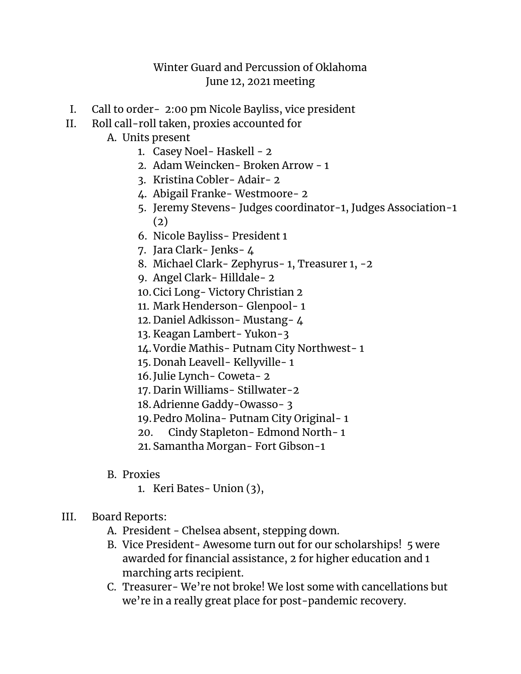## Winter Guard and Percussion of Oklahoma June 12, 2021 meeting

- I. Call to order- 2:00 pm Nicole Bayliss, vice president
- II. Roll call-roll taken, proxies accounted for

A. Units present

- 1. Casey Noel- Haskell 2
- 2. Adam Weincken- Broken Arrow 1
- 3. Kristina Cobler- Adair- 2
- 4. Abigail Franke- Westmoore- 2
- 5. Jeremy Stevens- Judges coordinator-1, Judges Association-1 (2)
- 6. Nicole Bayliss- President 1
- 7. Jara Clark- Jenks- 4
- 8. Michael Clark- Zephyrus- 1, Treasurer 1, -2
- 9. Angel Clark- Hilldale- 2
- 10.Cici Long- Victory Christian 2
- 11. Mark Henderson- Glenpool- 1
- 12. Daniel Adkisson- Mustang- 4
- 13. Keagan Lambert- Yukon-3
- 14.Vordie Mathis- Putnam City Northwest- 1
- 15. Donah Leavell- Kellyville- 1
- 16.Julie Lynch- Coweta- 2
- 17. Darin Williams- Stillwater-2
- 18.Adrienne Gaddy-Owasso- 3
- 19.Pedro Molina- Putnam City Original- 1
- 20. Cindy Stapleton- Edmond North- 1
- 21. Samantha Morgan- Fort Gibson-1
- B. Proxies
	- 1. Keri Bates- Union (3),
- III. Board Reports:
	- A. President Chelsea absent, stepping down.
	- B. Vice President- Awesome turn out for our scholarships! 5 were awarded for financial assistance, 2 for higher education and 1 marching arts recipient.
	- C. Treasurer- We're not broke! We lost some with cancellations but we're in a really great place for post-pandemic recovery.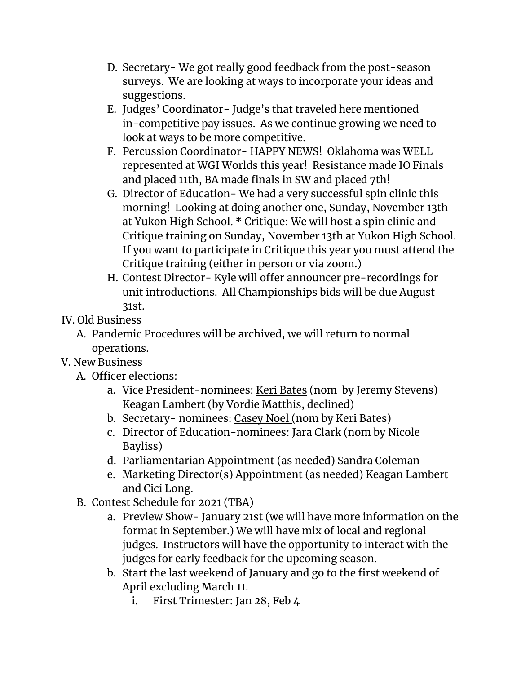- D. Secretary- We got really good feedback from the post-season surveys. We are looking at ways to incorporate your ideas and suggestions.
- E. Judges' Coordinator- Judge's that traveled here mentioned in-competitive pay issues. As we continue growing we need to look at ways to be more competitive.
- F. Percussion Coordinator- HAPPY NEWS! Oklahoma was WELL represented at WGI Worlds this year! Resistance made IO Finals and placed 11th, BA made finals in SW and placed 7th!
- G. Director of Education- We had a very successful spin clinic this morning! Looking at doing another one, Sunday, November 13th at Yukon High School. \* Critique: We will host a spin clinic and Critique training on Sunday, November 13th at Yukon High School. If you want to participate in Critique this year you must attend the Critique training (either in person or via zoom.)
- H. Contest Director- Kyle will offer announcer pre-recordings for unit introductions. All Championships bids will be due August 31st.

## IV. Old Business

A. Pandemic Procedures will be archived, we will return to normal operations.

## V. New Business

- A. Officer elections:
	- a. Vice President-nominees: Keri Bates (nom by Jeremy Stevens) Keagan Lambert (by Vordie Matthis, declined)
	- b. Secretary- nominees: Casey Noel (nom by Keri Bates)
	- c. Director of Education-nominees: Jara Clark (nom by Nicole Bayliss)
	- d. Parliamentarian Appointment (as needed) Sandra Coleman
	- e. Marketing Director(s) Appointment (as needed) Keagan Lambert and Cici Long.
- B. Contest Schedule for 2021 (TBA)
	- a. Preview Show- January 21st (we will have more information on the format in September.) We will have mix of local and regional judges. Instructors will have the opportunity to interact with the judges for early feedback for the upcoming season.
	- b. Start the last weekend of January and go to the first weekend of April excluding March 11.
		- i. First Trimester: Jan 28, Feb 4